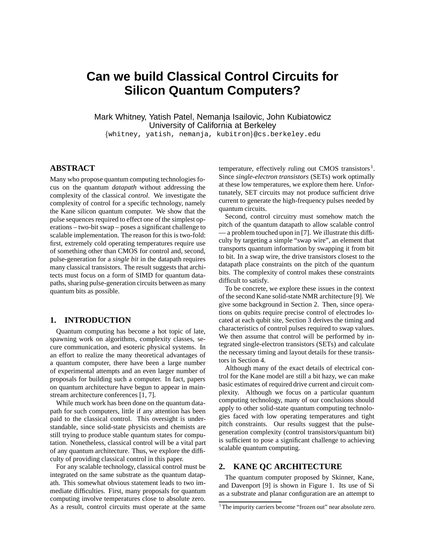# **Can we build Classical Control Circuits for Silicon Quantum Computers?**

Mark Whitney, Yatish Patel, Nemanja Isailovic, John Kubiatowicz University of California at Berkeley

whitney, yatish, nemanja, kubitron@cs.berkeley.edu

# **ABSTRACT**

Many who propose quantum computing technologies focus on the quantum *datapath* without addressing the complexity of the classical *control*. We investigate the complexity of control for a specific technology, namely the Kane silicon quantum computer. We show that the pulse sequences required to effect one of the simplest operations – two-bit swap – poses a significant challenge to scalable implementation. The reason for this is two-fold: first, extremely cold operating temperatures require use of something other than CMOS for control and, second, pulse-generation for a *single bit* in the datapath requires many classical transistors. The result suggests that architects must focus on a form of SIMD for quantum datapaths, sharing pulse-generation circuits between as many quantum bits as possible.

# **1. INTRODUCTION**

Quantum computing has become a hot topic of late, spawning work on algorithms, complexity classes, secure communication, and esoteric physical systems. In an effort to realize the many theoretical advantages of a quantum computer, there have been a large number of experimental attempts and an even larger number of proposals for building such a computer. In fact, papers on quantum architecture have begun to appear in mainstream architecture conferences [1, 7].

While much work has been done on the quantum datapath for such computers, little if any attention has been paid to the classical control. This oversight is understandable, since solid-state physicists and chemists are still trying to produce stable quantum states for computation. Nonetheless, classical control will be a vital part of any quantum architecture. Thus, we explore the difficulty of providing classical control in this paper.

For any scalable technology, classical control must be integrated on the same substrate as the quantum datapath. This somewhat obvious statement leads to two immediate difficulties. First, many proposals for quantum computing involve temperatures close to absolute zero. As a result, control circuits must operate at the same

temperature, effectively ruling out CMOS transistors<sup>1</sup>. Since *single-electron transistors* (SETs) work optimally at these low temperatures, we explore them here. Unfortunately, SET circuits may not produce sufficient drive current to generate the high-frequency pulses needed by quantum circuits.

Second, control circuitry must somehow match the pitch of the quantum datapath to allow scalable control — a problem touched upon in [7]. We illustrate this difficulty by targeting a simple "swap wire", an element that transports quantum information by swapping it from bit to bit. In a swap wire, the drive transistors closest to the datapath place constraints on the pitch of the quantum bits. The complexity of control makes these constraints difficult to satisfy.

To be concrete, we explore these issues in the context of the second Kane solid-state NMR architecture [9]. We give some background in Section 2. Then, since operations on qubits require precise control of electrodes located at each qubit site, Section 3 derives the timing and characteristics of control pulses required to swap values. We then assume that control will be performed by integrated single-electron transistors (SETs) and calculate the necessary timing and layout details for these transistors in Section 4.

Although many of the exact details of electrical control for the Kane model are still a bit hazy, we can make basic estimates of required drive current and circuit complexity. Although we focus on a particular quantum computing technology, many of our conclusions should apply to other solid-state quantum computing technologies faced with low operating temperatures and tight pitch constraints. Our results suggest that the pulsegeneration complexity (control transistors/quantum bit) is sufficient to pose a significant challenge to achieving scalable quantum computing.

# **2. KANE QC ARCHITECTURE**

The quantum computer proposed by Skinner, Kane, and Davenport [9] is shown in Figure 1. Its use of Si as a substrate and planar configuration are an attempt to

<sup>&</sup>lt;sup>1</sup>The impurity carriers become "frozen out" near absolute zero.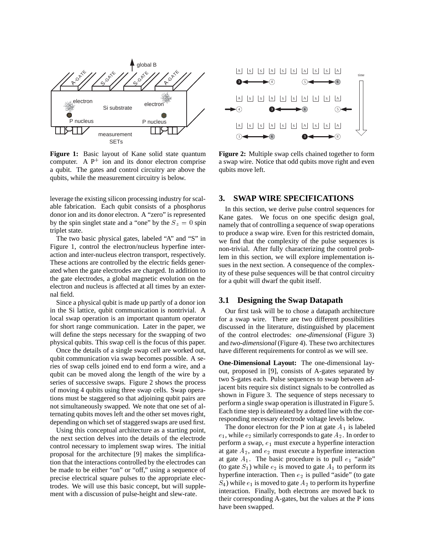

**Figure 1:** Basic layout of Kane solid state quantum computer. A  $P^+$  ion and its donor electron comprise a qubit. The gates and control circuitry are above the qubits, while the measurement circuitry is below.

leverage the existing silicon processing industry for scalable fabrication. Each qubit consists of a phosphorus donor ion and its donor electron. A "zero" is represented by the spin singlet state and a "one" by the  $S_z = 0$  spin triplet state.

The two basic physical gates, labeled "A" and "S" in Figure 1, control the electron/nucleus hyperfine interaction and inter-nucleus electron transport, respectively. These actions are controlled by the electric fields generated when the gate electrodes are charged. In addition to the gate electrodes, a global magnetic evolution on the electron and nucleus is affected at all times by an external field.

Since a physical qubit is made up partly of a donor ion in the Si lattice, qubit communication is nontrivial. A local swap operation is an important quantum operator for short range communication. Later in the paper, we will define the steps necessary for the swapping of two physical qubits. This swap cell is the focus of this paper.

Once the details of a single swap cell are worked out, qubit communication via swap becomes possible. A series of swap cells joined end to end form a wire, and a qubit can be moved along the length of the wire by a series of successive swaps. Figure 2 shows the process of moving 4 qubits using three swap cells. Swap operations must be staggered so that adjoining qubit pairs are not simultaneously swapped. We note that one set of alternating qubits moves left and the other set moves right, depending on which set of staggered swaps are used first.

Using this conceptual architecture as a starting point, the next section delves into the details of the electrode control necessary to implement swap wires. The initial proposal for the architecture [9] makes the simplification that the interactions controlled by the electrodes can be made to be either "on" or "off," using a sequence of precise electrical square pulses to the appropriate electrodes. We will use this basic concept, but will supplement with a discussion of pulse-height and slew-rate.



**Figure 2:** Multiple swap cells chained together to form a swap wire. Notice that odd qubits move right and even qubits move left.

#### **3. SWAP WIRE SPECIFICATIONS**

In this section, we derive pulse control sequences for Kane gates. We focus on one specific design goal, namely that of controlling a sequence of swap operations to produce a swap wire. Even for this restricted domain, we find that the complexity of the pulse sequences is non-trivial. After fully characterizing the control problem in this section, we will explore implementation issues in the next section. A consequence of the complexity of these pulse sequences will be that control circuitry for a qubit will dwarf the qubit itself.

## **3.1 Designing the Swap Datapath**

Our first task will be to chose a datapath architecture for a swap wire. There are two different possibilities discussed in the literature, distinguished by placement of the control electrodes: *one-dimensional* (Figure 3) and *two-dimensional* (Figure 4). These two architectures have different requirements for control as we will see.

**One-Dimensional Layout:** The one-dimensional layout, proposed in [9], consists of A-gates separated by two S-gates each. Pulse sequences to swap between adjacent bits require six distinct signals to be controlled as shown in Figure 3. The sequence of steps necessary to perform a single swap operation is illustrated in Figure 5. Each time step is delineated by a dotted line with the corresponding necessary electrode voltage levels below.

The donor electron for the P ion at gate  $A_1$  is labeled  $e_1$ , while  $e_2$  similarly corresponds to gate  $A_2$ . In order to perform a swap,  $e_1$  must execute a hyperfine interaction at gate  $A_2$ , and  $e_2$  must execute a hyperfine interaction at gate  $A_1$ . The basic procedure is to pull  $e_1$  "aside" (to gate  $S_1$ ) while  $e_2$  is moved to gate  $A_1$  to perform its hyperfine interaction. Then  $e_2$  is pulled "aside" (to gate  $S_4$ ) while  $e_1$  is moved to gate  $A_2$  to perform its hyperfine interaction. Finally, both electrons are moved back to their corresponding A-gates, but the values at the P ions have been swapped.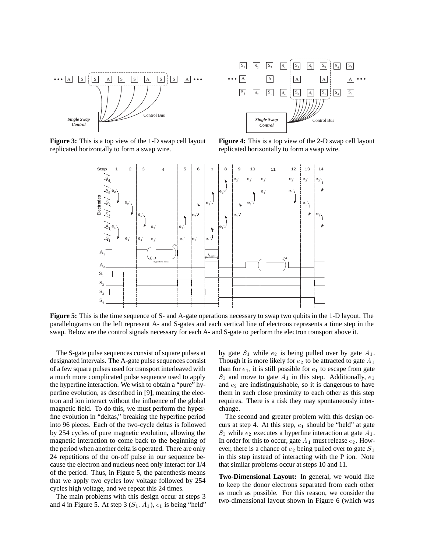

**Figure 3:** This is a top view of the 1-D swap cell layout replicated horizontally to form a swap wire.



**Figure 4:** This is a top view of the 2-D swap cell layout replicated horizontally to form a swap wire.



**Figure 5:** This is the time sequence of S- and A-gate operations necessary to swap two qubits in the 1-D layout. The parallelograms on the left represent A- and S-gates and each vertical line of electrons represents a time step in the swap. Below are the control signals necessary for each A- and S-gate to perform the electron transport above it.

The S-gate pulse sequences consist of square pulses at designated intervals. The A-gate pulse sequences consist of a few square pulses used for transport interleaved with a much more complicated pulse sequence used to apply the hyperfine interaction. We wish to obtain a "pure" hyperfine evolution, as described in [9], meaning the electron and ion interact without the influence of the global magnetic field. To do this, we must perform the hyperfine evolution in "deltas," breaking the hyperfine period into 96 pieces. Each of the two-cycle deltas is followed by 254 cycles of pure magnetic evolution, allowing the magnetic interaction to come back to the beginning of the period when another delta is operated. There are only 24 repetitions of the on-off pulse in our sequence because the electron and nucleus need only interact for 1/4 of the period. Thus, in Figure 5, the parenthesis means that we apply two cycles low voltage followed by 254 cycles high voltage, and we repeat this 24 times.

The main problems with this design occur at steps 3 and 4 in Figure 5. At step 3  $(S_1, A_1)$ ,  $e_1$  is being "held"

by gate  $S_1$  while  $e_2$  is being pulled over by gate  $A_1$ . Though it is more likely for  $e_2$  to be attracted to gate  $A_1$ than for  $e_1$ , it is still possible for  $e_1$  to escape from gate  $S_1$  and move to gate  $A_1$  in this step. Additionally,  $e_1$ and  $e_2$  are indistinguishable, so it is dangerous to have them in such close proximity to each other as this step requires. There is a risk they may spontaneously interchange.

The second and greater problem with this design occurs at step 4. At this step,  $e_1$  should be "held" at gate  $S_1$  while  $e_2$  executes a hyperfine interaction at gate  $A_1$ . In order for this to occur, gate  $A_1$  must release  $e_2$ . However, there is a chance of  $e_2$  being pulled over to gate  $S_1$ in this step instead of interacting with the P ion. Note that similar problems occur at steps 10 and 11.

**Two-Dimensional Layout:** In general, we would like to keep the donor electrons separated from each other as much as possible. For this reason, we consider the two-dimensional layout shown in Figure 6 (which was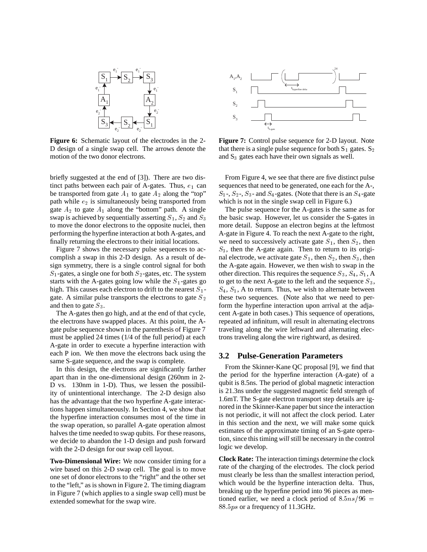

**Figure 6:** Schematic layout of the electrodes in the 2- D design of a single swap cell. The arrows denote the motion of the two donor electrons.

briefly suggested at the end of [3]). There are two distinct paths between each pair of A-gates. Thus,  $e_1$  can be transported from gate  $A_1$  to gate  $A_2$  along the "top" path while  $e_2$  is simultaneously being transported from gate  $A_2$  to gate  $A_1$  along the "bottom" path. A single swap is achieved by sequentially asserting  $S_1, S_2$  and  $S_3$  the to move the donor electrons to the opposite nuclei, then performing the hyperfine interaction at both A-gates, and finally returning the electrons to their initial locations.

Figure 7 shows the necessary pulse sequences to accomplish a swap in this 2-D design. As a result of design symmetry, there is a single control signal for both  $S_1$ -gates, a single one for both  $S_2$ -gates, etc. The system starts with the A-gates going low while the  $S_1$ -gates go high. This causes each electron to drift to the nearest  $S_1$ gate. A similar pulse transports the electrons to gate  $S_2$ and then to gate  $S_3$ .

The A-gates then go high, and at the end of that cycle, the electrons have swapped places. At this point, the Agate pulse sequence shown in the parenthesis of Figure 7 must be applied 24 times (1/4 of the full period) at each A-gate in order to execute a hyperfine interaction with each P ion. We then move the electrons back using the same S-gate sequence, and the swap is complete.

In this design, the electrons are significantly farther apart than in the one-dimensional design (260nm in 2- D vs. 130nm in 1-D). Thus, we lessen the possibility of unintentional interchange. The 2-D design also has the advantage that the two hyperfine A-gate interactions happen simultaneously. In Section 4, we show that the hyperfine interaction consumes most of the time in the swap operation, so parallel A-gate operation almost halves the time needed to swap qubits. For these reasons, we decide to abandon the 1-D design and push forward with the 2-D design for our swap cell layout.

**Two-Dimensional Wire:** We now consider timing for a wire based on this 2-D swap cell. The goal is to move one set of donor electrons to the "right" and the other set to the "left," as is shown in Figure 2. The timing diagram in Figure 7 (which applies to a single swap cell) must be extended somewhat for the swap wire.



**Figure 7:** Control pulse sequence for 2-D layout. Note that there is a single pulse sequence for both  $S_1$  gates.  $S_2$ and  $S_3$  gates each have their own signals as well.

From Figure 4, we see that there are five distinct pulse sequences that need to be generated, one each for the A-,  $S_1$ -,  $S_2$ -,  $S_3$ - and  $S_4$ -gates. (Note that there is an  $S_4$ -gate which is not in the single swap cell in Figure 6.)

The pulse sequence for the A-gates is the same as for the basic swap. However, let us consider the S-gates in more detail. Suppose an electron begins at the leftmost A-gate in Figure 4. To reach the next A-gate to the right, we need to successively activate gate  $S_1$ , then  $S_2$ , then  $S_3$ , then the A-gate again. Then to return to its original electrode, we activate gate  $S_1$ , then  $S_2$ , then  $S_3$ , then the A-gate again. However, we then wish to swap in the other direction. This requires the sequence  $S_3$ ,  $S_4$ ,  $S_1$ , A to get to the next A-gate to the left and the sequence  $S_3$ ,  $S_4$ ,  $S_1$ , A to return. Thus, we wish to alternate between these two sequences. (Note also that we need to perform the hyperfine interaction upon arrival at the adjacent A-gate in both cases.) This sequence of operations, repeated ad infinitum, will result in alternating electrons traveling along the wire leftward and alternating electrons traveling along the wire rightward, as desired.

#### **3.2 Pulse-Generation Parameters**

From the Skinner-Kane QC proposal [9], we find that the period for the hyperfine interaction (A-gate) of a qubit is 8.5ns. The period of global magnetic interaction is 21.3ns under the suggested magnetic field strength of 1.6mT. The S-gate electron transport step details are ignored in the Skinner-Kane paper but since the interaction is not periodic, it will not affect the clock period. Later in this section and the next, we will make some quick estimates of the approximate timing of an S-gate operation, since this timing *will*still be necessary in the control logic we develop.

**Clock Rate:** The interaction timings determine the clock rate of the charging of the electrodes. The clock period must clearly be less than the smallest interaction period, which would be the hyperfine interaction delta. Thus, breaking up the hyperfine period into 96 pieces as mentioned earlier, we need a clock period of  $8.5ns/96$  = 88.5ps or a frequency of 11.3GHz.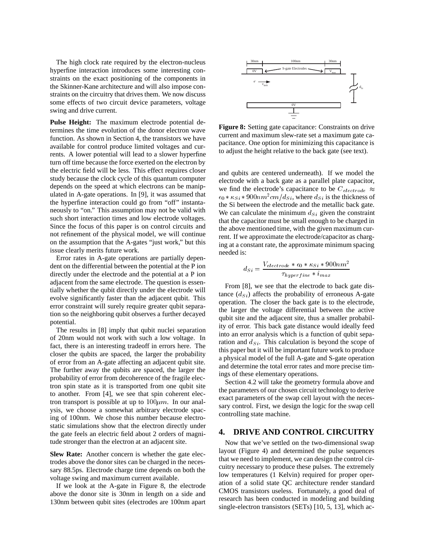The high clock rate required by the electron-nucleus hyperfine interaction introduces some interesting constraints on the exact positioning of the components in the Skinner-Kane architecture and will also impose constraints on the circuitry that drives them. We now discuss some effects of two circuit device parameters, voltage swing and drive current.

**Pulse Height:** The maximum electrode potential determines the time evolution of the donor electron wave function. As shown in Section 4, the transistors we have available for control produce limited voltages and currents. A lower potential will lead to a slower hyperfine turn off time because the force exerted on the electron by the electric field will be less. This effect requires closer study because the clock cycle of this quantum computer depends on the speed at which electrons can be manipulated in A-gate operations. In [9], it was assumed that the hyperfine interaction could go from "off" instantaneously to "on." This assumption may not be valid with such short interaction times and low electrode voltages. Since the focus of this paper is on control circuits and not refinement of the physical model, we will continue on the assumption that the A-gates "just work," but this issue clearly merits future work.

Error rates in A-gate operations are partially dependent on the differential between the potential at the P ion directly under the electrode and the potential at a P ion adjacent from the same electrode. The question is essentially whether the qubit directly under the electrode will evolve significantly faster than the adjacent qubit. This error constraint will surely require greater qubit separation so the neighboring qubit observes a further decayed potential.

The results in [8] imply that qubit nuclei separation of 20nm would not work with such a low voltage. In fact, there is an interesting tradeoff in errors here. The closer the qubits are spaced, the larger the probability of error from an A-gate affecting an adjacent qubit site. The further away the qubits are spaced, the larger the probability of error from decoherence of the fragile electron spin state as it is transported from one qubit site to another. From [4], we see that spin coherent electron transport is possible at up to  $100 \mu m$ . In our analysis, we choose a somewhat arbitrary electrode spacing of 100nm. We chose this number because electrostatic simulations show that the electron directly under the gate feels an electric field about 2 orders of magnitude stronger than the electron at an adjacent site.

**Slew Rate:** Another concern is whether the gate electrodes above the donor sites can be charged in the necessary 88.5ps. Electrode charge time depends on both the voltage swing and maximum current available.

If we look at the A-gate in Figure 8, the electrode above the donor site is 30nm in length on a side and 130nm between qubit sites (electrodes are 100nm apart



**Figure 8:** Setting gate capacitance: Constraints on drive current and maximum slew-rate set a maximum gate capacitance. One option for minimizing this capacitance is to adjust the height relative to the back gate (see text).

and qubits are centered underneath). If we model the electrode with a back gate as a parallel plate capacitor, we find the electrode's capacitance to be  $C_{electrode} \approx$  $\epsilon_0 * \kappa_{Si} * 900nm^2cm/d_{Si}$ , where  $d_{Si}$  is the thickness of the Si between the electrode and the metallic back gate. We can calculate the minimum  $d_{Si}$  given the constraint that the capacitor must be small enough to be charged in the above mentioned time, with the given maximum current. If we approximate the electrode/capacitor as charging at a constant rate, the approximate minimum spacing needed is:

$$
d_{Si} = \frac{V_{electrode} * \epsilon_0 * \kappa_{Si} * 900nm^2}{\tau_{hyperfine} * i_{max}}
$$

From [8], we see that the electrode to back gate distance  $(d_{Si})$  affects the probability of erroneous A-gate operation. The closer the back gate is to the electrode, the larger the voltage differential between the active qubit site and the adjacent site, thus a smaller probability of error. This back gate distance would ideally feed into an error analysis which is a function of qubit separation and  $d_{Si}$ . This calculation is beyond the scope of this paper but it will be important future work to produce a physical model of the full A-gate and S-gate operation and determine the total error rates and more precise timings of these elementary operations.

Section 4.2 will take the geometry formula above and the parameters of our chosen circuit technology to derive exact parameters of the swap cell layout with the necessary control. First, we design the logic for the swap cell controlling state machine.

#### **4. DRIVE AND CONTROL CIRCUITRY**

Now that we've settled on the two-dimensional swap layout (Figure 4) and determined the pulse sequences that we need to implement, we can design the control circuitry necessary to produce these pulses. The extremely low temperatures (1 Kelvin) required for proper operation of a solid state QC architecture render standard CMOS transistors useless. Fortunately, a good deal of research has been conducted in modeling and building single-electron transistors (SETs) [10, 5, 13], which ac-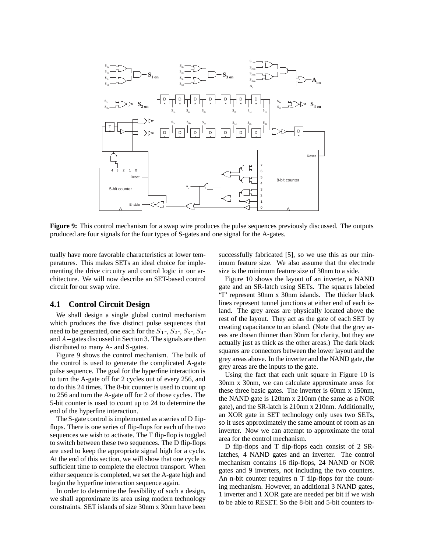

**Figure 9:** This control mechanism for a swap wire produces the pulse sequences previously discussed. The outputs produced are four signals for the four types of S-gates and one signal for the A-gates.

tually have more favorable characteristics at lower temperatures. This makes SETs an ideal choice for implementing the drive circuitry and control logic in our architecture. We will now describe an SET-based control circuit for our swap wire.

# **4.1 Control Circuit Design**

We shall design a single global control mechanism which produces the five distinct pulse sequences that need to be generated, one each for the  $S_1$ -,  $S_2$ -,  $S_3$ -,  $S_4$ and  $A$  – gates discussed in Section 3. The signals are then distributed to many A- and S-gates.

Figure 9 shows the control mechanism. The bulk of the control is used to generate the complicated A-gate pulse sequence. The goal for the hyperfine interaction is to turn the A-gate off for 2 cycles out of every 256, and to do this 24 times. The 8-bit counter is used to count up to 256 and turn the A-gate off for 2 of those cycles. The 5-bit counter is used to count up to 24 to determine the end of the hyperfine interaction.

The S-gate control is implemented as a series of D flipflops. There is one series of flip-flops for each of the two sequences we wish to activate. The T flip-flop is toggled to switch between these two sequences. The D flip-flops are used to keep the appropriate signal high for a cycle. At the end of this section, we will show that one cycle is sufficient time to complete the electron transport. When either sequence is completed, we set the A-gate high and begin the hyperfine interaction sequence again.

In order to determine the feasibility of such a design, we shall approximate its area using modern technology constraints. SET islands of size 30nm x 30nm have been

successfully fabricated [5], so we use this as our minimum feature size. We also assume that the electrode size is the minimum feature size of 30nm to a side.

Figure 10 shows the layout of an inverter, a NAND gate and an SR-latch using SETs. The squares labeled "I" represent 30nm x 30nm islands. The thicker black lines represent tunnel junctions at either end of each island. The grey areas are physically located above the rest of the layout. They act as the gate of each SET by creating capacitance to an island. (Note that the grey areas are drawn thinner than 30nm for clarity, but they are actually just as thick as the other areas.) The dark black squares are connectors between the lower layout and the grey areas above. In the inverter and the NAND gate, the grey areas are the inputs to the gate.

Using the fact that each unit square in Figure 10 is 30nm x 30nm, we can calculate approximate areas for these three basic gates. The inverter is 60nm x 150nm, the NAND gate is 120nm x 210nm (the same as a NOR gate), and the SR-latch is 210nm x 210nm. Additionally, an XOR gate in SET technology only uses two SETs, so it uses approximately the same amount of room as an inverter. Now we can attempt to approximate the total area for the control mechanism.

D flip-flops and T flip-flops each consist of 2 SRlatches, 4 NAND gates and an inverter. The control mechanism contains 16 flip-flops, 24 NAND or NOR gates and 9 inverters, not including the two counters. An n-bit counter requires n T flip-flops for the counting mechanism. However, an additional 3 NAND gates, 1 inverter and 1 XOR gate are needed per bit if we wish to be able to RESET. So the 8-bit and 5-bit counters to-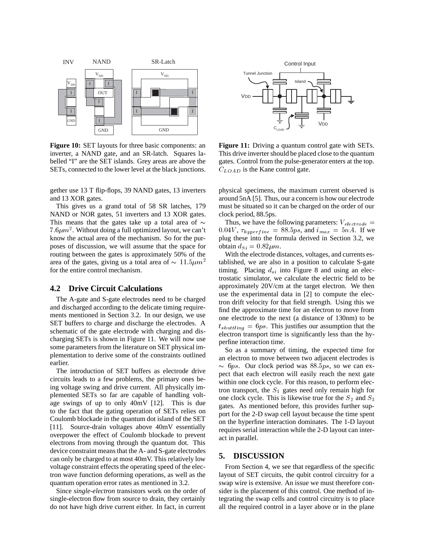

**Figure 10:** SET layouts for three basic components: an inverter, a NAND gate, and an SR-latch. Squares labelled "I" are the SET islands. Grey areas are above the SETs, connected to the lower level at the black junctions.

gether use 13 T flip-flops, 39 NAND gates, 13 inverters and 13 XOR gates.

This gives us a grand total of 58 SR latches, 179 NAND or NOR gates, 51 inverters and 13 XOR gates. This means that the gates take up a total area of  $\sim$  $7.6 \mu m^2$ . Without doing a full optimized layout, we can't know the actual area of the mechanism. So for the purposes of discussion, we will assume that the space for routing between the gates is approximately 50% of the area of the gates, giving us a total area of  $\sim 11.5 \mu m^2$ for the entire control mechanism.

#### **4.2 Drive Circuit Calculations**

The A-gate and S-gate electrodes need to be charged and discharged according to the delicate timing requirements mentioned in Section 3.2. In our design, we use SET buffers to charge and discharge the electrodes. A schematic of the gate electrode with charging and discharging SETs is shown in Figure 11. We will now use some parameters from the literature on SET physical implementation to derive some of the constraints outlined earlier.

The introduction of SET buffers as electrode drive circuits leads to a few problems, the primary ones being voltage swing and drive current. All physically implemented SETs so far are capable of handling voltage swings of up to only 40mV [12]. This is due to the fact that the gating operation of SETs relies on Coulomb blockade in the quantum dot island of the SET [11]. Source-drain voltages above 40mV essentially overpower the effect of Coulomb blockade to prevent electrons from moving through the quantum dot. This device constraint means that the A- and S-gate electrodes can only be charged to at most 40mV. This relatively low voltage constraint effects the operating speed of the electron wave function deforming operations, as well as the quantum operation error rates as mentioned in 3.2.

Since *single-electron* transistors work on the order of single-electron flow from source to drain, they certainly do not have high drive current either. In fact, in current



**Figure 11:** Driving a quantum control gate with SETs. This drive inverter should be placed close to the quantum gates. Control from the pulse-generator enters at the top.  $C_{LOAD}$  is the Kane control gate.

physical specimens, the maximum current observed is around 5nA [5]. Thus, our a concern is how our electrode must be situated so it can be charged on the order of our clock period, 88.5ps.

Thus, we have the following parameters:  $V_{electrode} =$  $0.04V$ ,  $\tau_{hyperfine}$  = 88.5ps, and  $i_{max}$  = 5nA. If we plug these into the formula derived in Section 3.2, we obtain  $d_{Si} = 0.82 \mu m$ .

 tablished, we are also in a position to calculate S-gate With the electrode distances, voltages, and currents estiming. Placing  $d_{si}$  into Figure 8 and using an electrostatic simulator, we calculate the electric field to be approximately 20V/cm at the target electron. We then use the experimental data in [2] to compute the electron drift velocity for that field strength. Using this we find the approximate time for an electron to move from one electrode to the next (a distance of 130nm) to be  $t_{shutting} = 6ps$ . This justifies our assumption that the electron transport time is significantly less than the hyperfine interaction time.

So as a summary of timing, the expected time for an electron to move between two adjacent electrodes is  $\sim$  6ps. Our clock period was 88.5ps, so we can expect that each electron will easily reach the next gate within one clock cycle. For this reason, to perform electron transport, the  $S_1$  gates need only remain high for one clock cycle. This is likewise true for the  $S_2$  and  $S_3$ gates. As mentioned before, this provides further support for the 2-D swap cell layout because the time spent on the hyperfine interaction dominates. The 1-D layout requires serial interaction while the 2-D layout can interact in parallel.

#### **5. DISCUSSION**

From Section 4, we see that regardless of the specific layout of SET circuits, the qubit control circuitry for a swap wire is extensive. An issue we must therefore consider is the placement of this control. One method of integrating the swap cells and control circuitry is to place all the required control in a layer above or in the plane